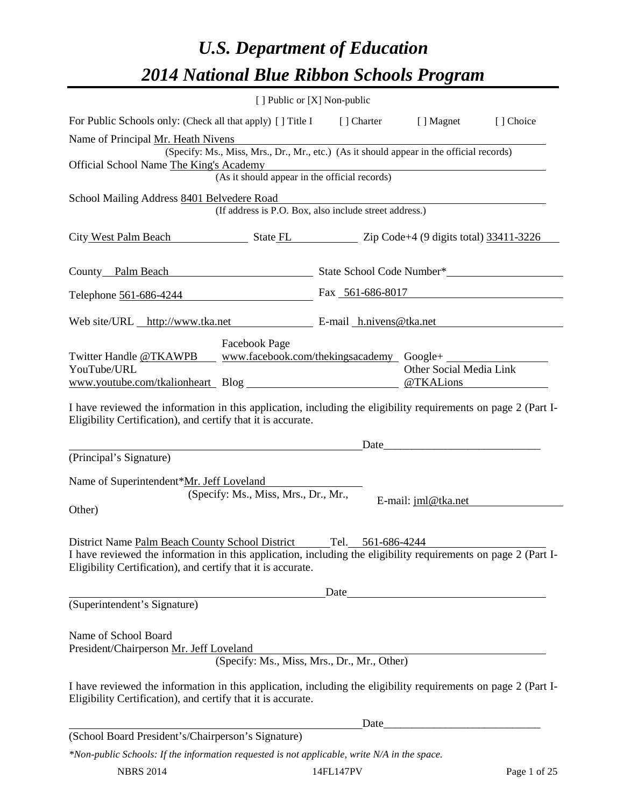# *U.S. Department of Education 2014 National Blue Ribbon Schools Program*

|                                                                                                                                                                                | [ ] Public or [X] Non-public         |                                                                                          |                                      |           |
|--------------------------------------------------------------------------------------------------------------------------------------------------------------------------------|--------------------------------------|------------------------------------------------------------------------------------------|--------------------------------------|-----------|
| For Public Schools only: (Check all that apply) [] Title I [] Charter [] Magnet                                                                                                |                                      |                                                                                          |                                      | [] Choice |
| Name of Principal Mr. Heath Nivens                                                                                                                                             |                                      |                                                                                          |                                      |           |
| Official School Name The King's Academy                                                                                                                                        |                                      | (Specify: Ms., Miss, Mrs., Dr., Mr., etc.) (As it should appear in the official records) |                                      |           |
| S Academy<br>(As it should appear in the official records)                                                                                                                     |                                      |                                                                                          |                                      |           |
| School Mailing Address 8401 Belvedere Road                                                                                                                                     |                                      |                                                                                          |                                      |           |
|                                                                                                                                                                                |                                      | (If address is P.O. Box, also include street address.)                                   |                                      |           |
| City West Palm Beach State FL Zip Code+4 (9 digits total) 33411-3226                                                                                                           |                                      |                                                                                          |                                      |           |
| County Palm Beach State School Code Number*                                                                                                                                    |                                      |                                                                                          |                                      |           |
| Telephone 561-686-4244                                                                                                                                                         |                                      | Fax 561-686-8017                                                                         |                                      |           |
| Web site/URL http://www.tka.net E-mail h.nivens@tka.net                                                                                                                        |                                      |                                                                                          |                                      |           |
|                                                                                                                                                                                | Facebook Page                        |                                                                                          |                                      |           |
| Twitter Handle @TKAWPB __ www.facebook.com/thekingsacademy Google+                                                                                                             |                                      |                                                                                          |                                      |           |
| YouTube/URL                                                                                                                                                                    |                                      |                                                                                          | Other Social Media Link<br>@TKALions |           |
| Eligibility Certification), and certify that it is accurate.<br>(Principal's Signature)                                                                                        |                                      |                                                                                          |                                      |           |
| Name of Superintendent*Mr. Jeff Loveland                                                                                                                                       |                                      |                                                                                          |                                      |           |
| Other)                                                                                                                                                                         | (Specify: Ms., Miss, Mrs., Dr., Mr., |                                                                                          | E-mail: jml@tka.net                  |           |
|                                                                                                                                                                                |                                      |                                                                                          |                                      |           |
| District Name Palm Beach County School District                                                                                                                                |                                      | Tel.<br>561-686-4244                                                                     |                                      |           |
| I have reviewed the information in this application, including the eligibility requirements on page 2 (Part I-<br>Eligibility Certification), and certify that it is accurate. |                                      |                                                                                          |                                      |           |
|                                                                                                                                                                                |                                      |                                                                                          |                                      |           |
| (Superintendent's Signature)                                                                                                                                                   |                                      |                                                                                          |                                      |           |
| Name of School Board<br>President/Chairperson Mr. Jeff Loveland                                                                                                                |                                      | (Specify: Ms., Miss, Mrs., Dr., Mr., Other)                                              |                                      |           |
| I have reviewed the information in this application, including the eligibility requirements on page 2 (Part I-<br>Eligibility Certification), and certify that it is accurate. |                                      |                                                                                          |                                      |           |
|                                                                                                                                                                                |                                      | Date_                                                                                    |                                      |           |
| (School Board President's/Chairperson's Signature)                                                                                                                             |                                      |                                                                                          |                                      |           |
| *Non-public Schools: If the information requested is not applicable, write N/A in the space.                                                                                   |                                      |                                                                                          |                                      |           |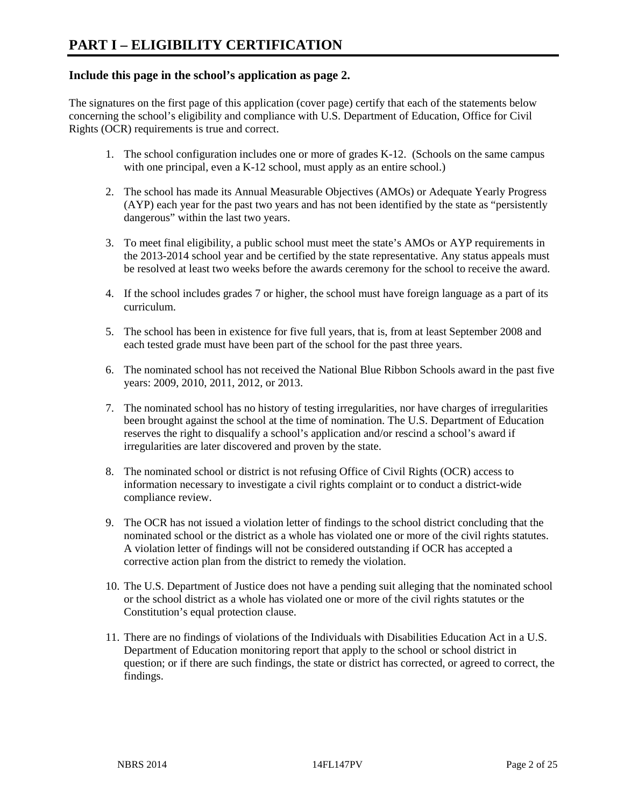#### **Include this page in the school's application as page 2.**

The signatures on the first page of this application (cover page) certify that each of the statements below concerning the school's eligibility and compliance with U.S. Department of Education, Office for Civil Rights (OCR) requirements is true and correct.

- 1. The school configuration includes one or more of grades K-12. (Schools on the same campus with one principal, even a K-12 school, must apply as an entire school.)
- 2. The school has made its Annual Measurable Objectives (AMOs) or Adequate Yearly Progress (AYP) each year for the past two years and has not been identified by the state as "persistently dangerous" within the last two years.
- 3. To meet final eligibility, a public school must meet the state's AMOs or AYP requirements in the 2013-2014 school year and be certified by the state representative. Any status appeals must be resolved at least two weeks before the awards ceremony for the school to receive the award.
- 4. If the school includes grades 7 or higher, the school must have foreign language as a part of its curriculum.
- 5. The school has been in existence for five full years, that is, from at least September 2008 and each tested grade must have been part of the school for the past three years.
- 6. The nominated school has not received the National Blue Ribbon Schools award in the past five years: 2009, 2010, 2011, 2012, or 2013.
- 7. The nominated school has no history of testing irregularities, nor have charges of irregularities been brought against the school at the time of nomination. The U.S. Department of Education reserves the right to disqualify a school's application and/or rescind a school's award if irregularities are later discovered and proven by the state.
- 8. The nominated school or district is not refusing Office of Civil Rights (OCR) access to information necessary to investigate a civil rights complaint or to conduct a district-wide compliance review.
- 9. The OCR has not issued a violation letter of findings to the school district concluding that the nominated school or the district as a whole has violated one or more of the civil rights statutes. A violation letter of findings will not be considered outstanding if OCR has accepted a corrective action plan from the district to remedy the violation.
- 10. The U.S. Department of Justice does not have a pending suit alleging that the nominated school or the school district as a whole has violated one or more of the civil rights statutes or the Constitution's equal protection clause.
- 11. There are no findings of violations of the Individuals with Disabilities Education Act in a U.S. Department of Education monitoring report that apply to the school or school district in question; or if there are such findings, the state or district has corrected, or agreed to correct, the findings.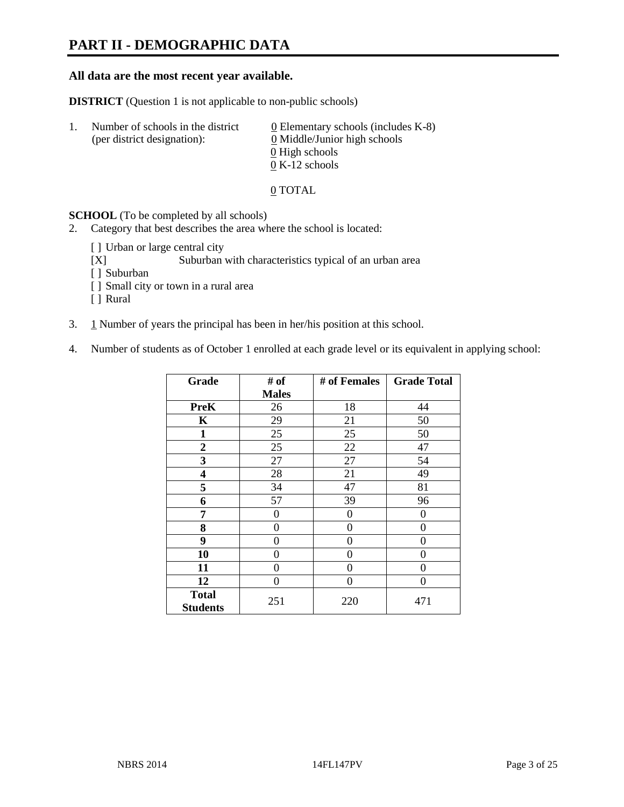# **PART II - DEMOGRAPHIC DATA**

#### **All data are the most recent year available.**

**DISTRICT** (Question 1 is not applicable to non-public schools)

| $\perp$ | Number of schools in the district<br>(per district designation): | 0 Elementary schools (includes $K-8$ )<br>0 Middle/Junior high schools |
|---------|------------------------------------------------------------------|------------------------------------------------------------------------|
|         |                                                                  | 0 High schools                                                         |
|         |                                                                  | $0 K-12$ schools                                                       |

0 TOTAL

#### **SCHOOL** (To be completed by all schools)

2. Category that best describes the area where the school is located:

- [] Urban or large central city
- [X] Suburban with characteristics typical of an urban area
- [ ] Suburban
- [ ] Small city or town in a rural area
- [ ] Rural
- 3.  $1$  Number of years the principal has been in her/his position at this school.
- 4. Number of students as of October 1 enrolled at each grade level or its equivalent in applying school:

| Grade                           | # of         | # of Females | <b>Grade Total</b> |
|---------------------------------|--------------|--------------|--------------------|
|                                 | <b>Males</b> |              |                    |
| <b>PreK</b>                     | 26           | 18           | 44                 |
| K                               | 29           | 21           | 50                 |
| $\mathbf{1}$                    | 25           | 25           | 50                 |
| $\overline{2}$                  | 25           | 22           | 47                 |
| 3                               | 27           | 27           | 54                 |
| 4                               | 28           | 21           | 49                 |
| 5                               | 34           | 47           | 81                 |
| 6                               | 57           | 39           | 96                 |
| 7                               | 0            | 0            | 0                  |
| 8                               | $\theta$     | 0            | 0                  |
| 9                               | 0            | 0            | 0                  |
| 10                              | 0            | 0            | 0                  |
| 11                              | $\theta$     | 0            | 0                  |
| 12                              | $\theta$     | 0            | 0                  |
| <b>Total</b><br><b>Students</b> | 251          | 220          | 471                |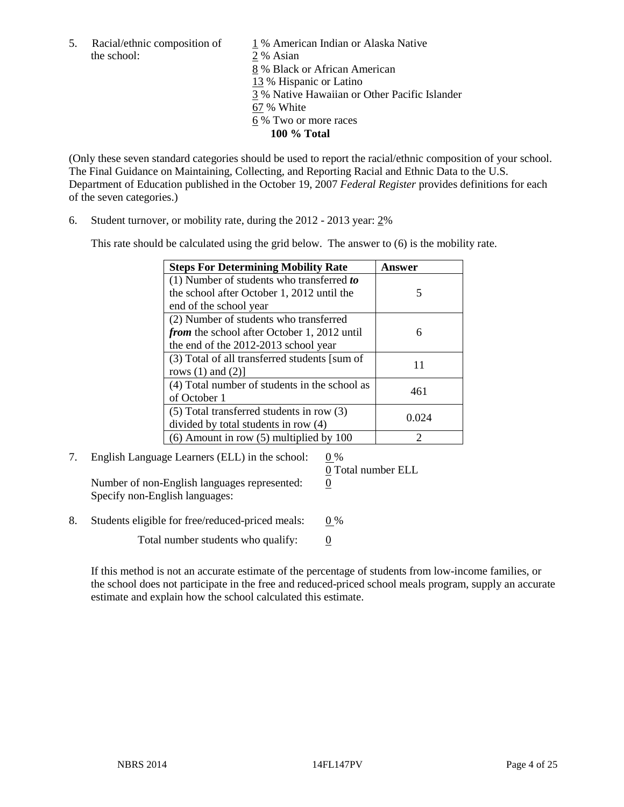the school: 2 % Asian

5. Racial/ethnic composition of  $1\%$  American Indian or Alaska Native 8 % Black or African American 13 % Hispanic or Latino 3 % Native Hawaiian or Other Pacific Islander 67 % White 6 % Two or more races **100 % Total** 

(Only these seven standard categories should be used to report the racial/ethnic composition of your school. The Final Guidance on Maintaining, Collecting, and Reporting Racial and Ethnic Data to the U.S. Department of Education published in the October 19, 2007 *Federal Register* provides definitions for each of the seven categories.)

6. Student turnover, or mobility rate, during the 2012 - 2013 year: 2%

This rate should be calculated using the grid below. The answer to (6) is the mobility rate.

| <b>Steps For Determining Mobility Rate</b>         | Answer |  |
|----------------------------------------------------|--------|--|
| (1) Number of students who transferred to          |        |  |
| the school after October 1, 2012 until the         | 5      |  |
| end of the school year                             |        |  |
| (2) Number of students who transferred             |        |  |
| <i>from</i> the school after October 1, 2012 until | 6      |  |
| the end of the 2012-2013 school year               |        |  |
| (3) Total of all transferred students [sum of      | 11     |  |
| rows $(1)$ and $(2)$ ]                             |        |  |
| (4) Total number of students in the school as      | 461    |  |
| of October 1                                       |        |  |
| $(5)$ Total transferred students in row $(3)$      |        |  |
| divided by total students in row (4)               | 0.024  |  |
| $(6)$ Amount in row $(5)$ multiplied by 100        |        |  |

7. English Language Learners (ELL) in the school: 0 %

Number of non-English languages represented: 0 Specify non-English languages:

0 Total number ELL

8. Students eligible for free/reduced-priced meals:  $0\%$ 

Total number students who qualify:  $\qquad 0$ 

If this method is not an accurate estimate of the percentage of students from low-income families, or the school does not participate in the free and reduced-priced school meals program, supply an accurate estimate and explain how the school calculated this estimate.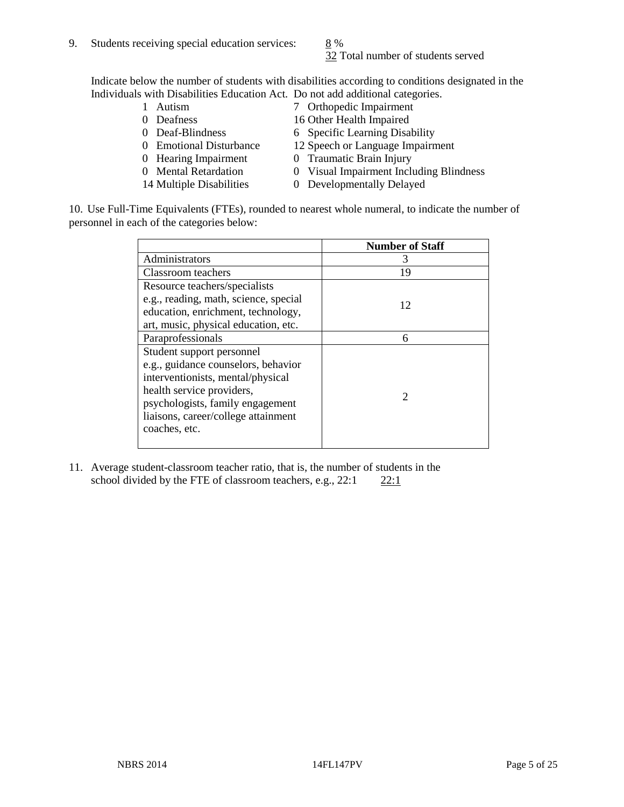32 Total number of students served

Indicate below the number of students with disabilities according to conditions designated in the Individuals with Disabilities Education Act. Do not add additional categories.<br>1 Autism 7 Orthopedic Impairment

- 
- 
- 
- 
- 
- 
- 
- 1 Autism 7 Orthopedic Impairment<br>
0 Deafness 16 Other Health Impaired
	- 16 Other Health Impaired
- 0 Deaf-Blindness 6 Specific Learning Disability
- 0 Emotional Disturbance 12 Speech or Language Impairment<br>
0 Traumatic Brain Injury
	- 0 Traumatic Brain Injury
- 0 Mental Retardation 0 Visual Impairment Including Blindness
- 14 Multiple Disabilities 0 Developmentally Delayed

10. Use Full-Time Equivalents (FTEs), rounded to nearest whole numeral, to indicate the number of personnel in each of the categories below:

|                                       | <b>Number of Staff</b> |
|---------------------------------------|------------------------|
| Administrators                        |                        |
| Classroom teachers                    | 19                     |
| Resource teachers/specialists         |                        |
| e.g., reading, math, science, special | 12                     |
| education, enrichment, technology,    |                        |
| art, music, physical education, etc.  |                        |
| Paraprofessionals                     | 6                      |
| Student support personnel             |                        |
| e.g., guidance counselors, behavior   |                        |
| interventionists, mental/physical     |                        |
| health service providers,             | $\mathcal{D}$          |
| psychologists, family engagement      |                        |
| liaisons, career/college attainment   |                        |
| coaches, etc.                         |                        |
|                                       |                        |

11. Average student-classroom teacher ratio, that is, the number of students in the school divided by the FTE of classroom teachers, e.g.,  $22:1$   $22:1$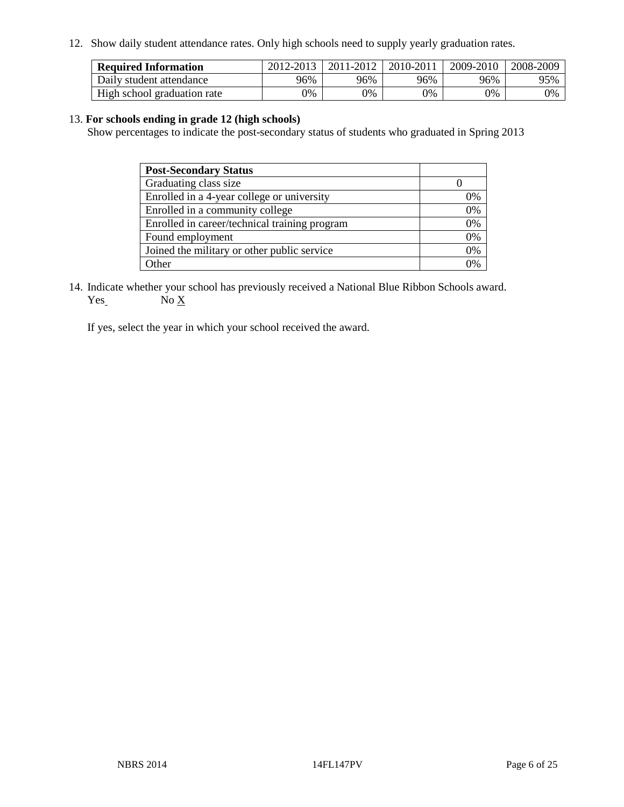12. Show daily student attendance rates. Only high schools need to supply yearly graduation rates.

| <b>Required Information</b> | 2012-2013 | 2011-2012 | 2010-2011 | 2009-2010 | 2008-2009 |
|-----------------------------|-----------|-----------|-----------|-----------|-----------|
| Daily student attendance    | 96%       | 96%       | 96%       | 96%       | 95%       |
| High school graduation rate | 0%        | 9%        | 0%        | 0%        | 0%        |

#### 13. **For schools ending in grade 12 (high schools)**

Show percentages to indicate the post-secondary status of students who graduated in Spring 2013

| <b>Post-Secondary Status</b>                  |    |
|-----------------------------------------------|----|
| Graduating class size                         |    |
| Enrolled in a 4-year college or university    | 0% |
| Enrolled in a community college               | 0% |
| Enrolled in career/technical training program | 0% |
| Found employment                              | 0% |
| Joined the military or other public service   | 0% |
| <b>Other</b>                                  | 2% |

14. Indicate whether your school has previously received a National Blue Ribbon Schools award.  $Yes_$  No  $X_$ 

If yes, select the year in which your school received the award.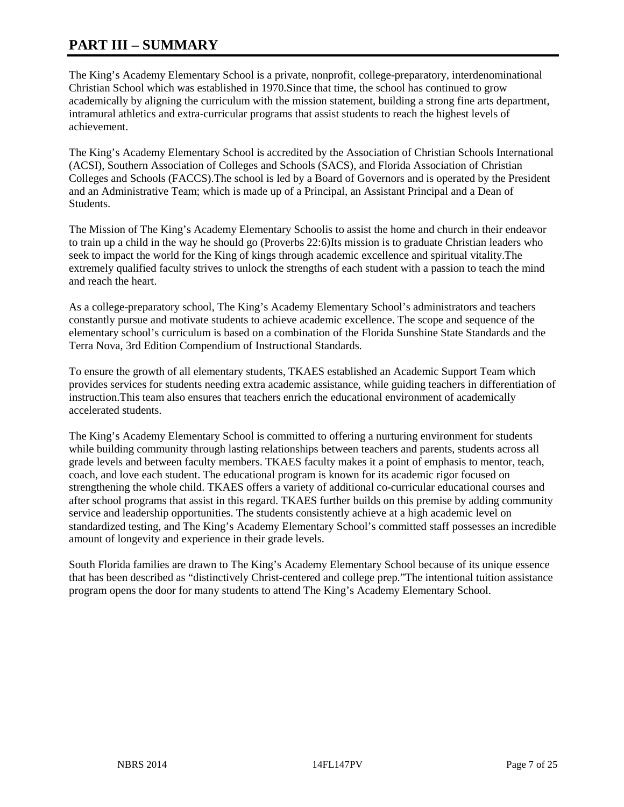# **PART III – SUMMARY**

The King's Academy Elementary School is a private, nonprofit, college-preparatory, interdenominational Christian School which was established in 1970.Since that time, the school has continued to grow academically by aligning the curriculum with the mission statement, building a strong fine arts department, intramural athletics and extra-curricular programs that assist students to reach the highest levels of achievement.

The King's Academy Elementary School is accredited by the Association of Christian Schools International (ACSI), Southern Association of Colleges and Schools (SACS), and Florida Association of Christian Colleges and Schools (FACCS).The school is led by a Board of Governors and is operated by the President and an Administrative Team; which is made up of a Principal, an Assistant Principal and a Dean of Students.

The Mission of The King's Academy Elementary Schoolis to assist the home and church in their endeavor to train up a child in the way he should go (Proverbs 22:6)Its mission is to graduate Christian leaders who seek to impact the world for the King of kings through academic excellence and spiritual vitality.The extremely qualified faculty strives to unlock the strengths of each student with a passion to teach the mind and reach the heart.

As a college-preparatory school, The King's Academy Elementary School's administrators and teachers constantly pursue and motivate students to achieve academic excellence. The scope and sequence of the elementary school's curriculum is based on a combination of the Florida Sunshine State Standards and the Terra Nova, 3rd Edition Compendium of Instructional Standards.

To ensure the growth of all elementary students, TKAES established an Academic Support Team which provides services for students needing extra academic assistance, while guiding teachers in differentiation of instruction.This team also ensures that teachers enrich the educational environment of academically accelerated students.

The King's Academy Elementary School is committed to offering a nurturing environment for students while building community through lasting relationships between teachers and parents, students across all grade levels and between faculty members. TKAES faculty makes it a point of emphasis to mentor, teach, coach, and love each student. The educational program is known for its academic rigor focused on strengthening the whole child. TKAES offers a variety of additional co-curricular educational courses and after school programs that assist in this regard. TKAES further builds on this premise by adding community service and leadership opportunities. The students consistently achieve at a high academic level on standardized testing, and The King's Academy Elementary School's committed staff possesses an incredible amount of longevity and experience in their grade levels.

South Florida families are drawn to The King's Academy Elementary School because of its unique essence that has been described as "distinctively Christ-centered and college prep."The intentional tuition assistance program opens the door for many students to attend The King's Academy Elementary School.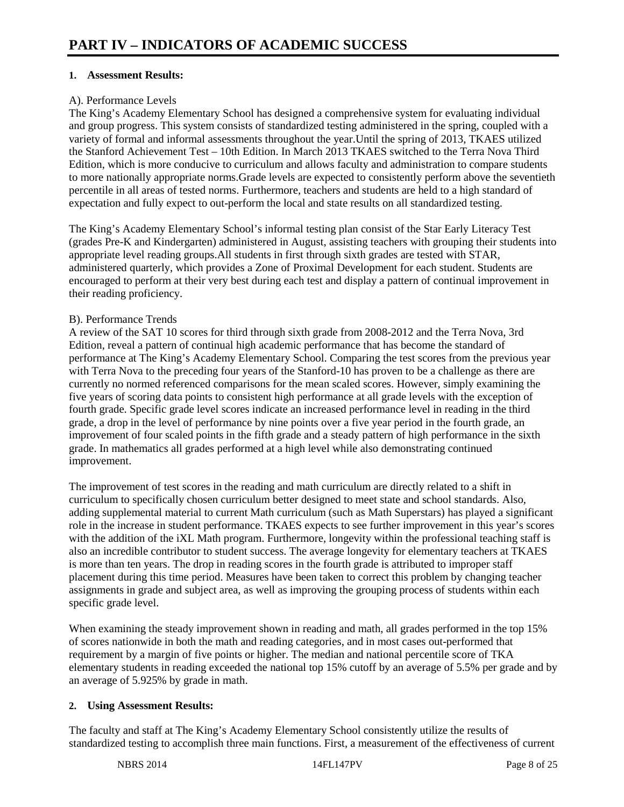#### **1. Assessment Results:**

#### A). Performance Levels

The King's Academy Elementary School has designed a comprehensive system for evaluating individual and group progress. This system consists of standardized testing administered in the spring, coupled with a variety of formal and informal assessments throughout the year.Until the spring of 2013, TKAES utilized the Stanford Achievement Test – 10th Edition. In March 2013 TKAES switched to the Terra Nova Third Edition, which is more conducive to curriculum and allows faculty and administration to compare students to more nationally appropriate norms.Grade levels are expected to consistently perform above the seventieth percentile in all areas of tested norms. Furthermore, teachers and students are held to a high standard of expectation and fully expect to out-perform the local and state results on all standardized testing.

The King's Academy Elementary School's informal testing plan consist of the Star Early Literacy Test (grades Pre-K and Kindergarten) administered in August, assisting teachers with grouping their students into appropriate level reading groups.All students in first through sixth grades are tested with STAR, administered quarterly, which provides a Zone of Proximal Development for each student. Students are encouraged to perform at their very best during each test and display a pattern of continual improvement in their reading proficiency.

#### B). Performance Trends

A review of the SAT 10 scores for third through sixth grade from 2008-2012 and the Terra Nova, 3rd Edition, reveal a pattern of continual high academic performance that has become the standard of performance at The King's Academy Elementary School. Comparing the test scores from the previous year with Terra Nova to the preceding four years of the Stanford-10 has proven to be a challenge as there are currently no normed referenced comparisons for the mean scaled scores. However, simply examining the five years of scoring data points to consistent high performance at all grade levels with the exception of fourth grade. Specific grade level scores indicate an increased performance level in reading in the third grade, a drop in the level of performance by nine points over a five year period in the fourth grade, an improvement of four scaled points in the fifth grade and a steady pattern of high performance in the sixth grade. In mathematics all grades performed at a high level while also demonstrating continued improvement.

The improvement of test scores in the reading and math curriculum are directly related to a shift in curriculum to specifically chosen curriculum better designed to meet state and school standards. Also, adding supplemental material to current Math curriculum (such as Math Superstars) has played a significant role in the increase in student performance. TKAES expects to see further improvement in this year's scores with the addition of the iXL Math program. Furthermore, longevity within the professional teaching staff is also an incredible contributor to student success. The average longevity for elementary teachers at TKAES is more than ten years. The drop in reading scores in the fourth grade is attributed to improper staff placement during this time period. Measures have been taken to correct this problem by changing teacher assignments in grade and subject area, as well as improving the grouping process of students within each specific grade level.

When examining the steady improvement shown in reading and math, all grades performed in the top 15% of scores nationwide in both the math and reading categories, and in most cases out-performed that requirement by a margin of five points or higher. The median and national percentile score of TKA elementary students in reading exceeded the national top 15% cutoff by an average of 5.5% per grade and by an average of 5.925% by grade in math.

#### **2. Using Assessment Results:**

The faculty and staff at The King's Academy Elementary School consistently utilize the results of standardized testing to accomplish three main functions. First, a measurement of the effectiveness of current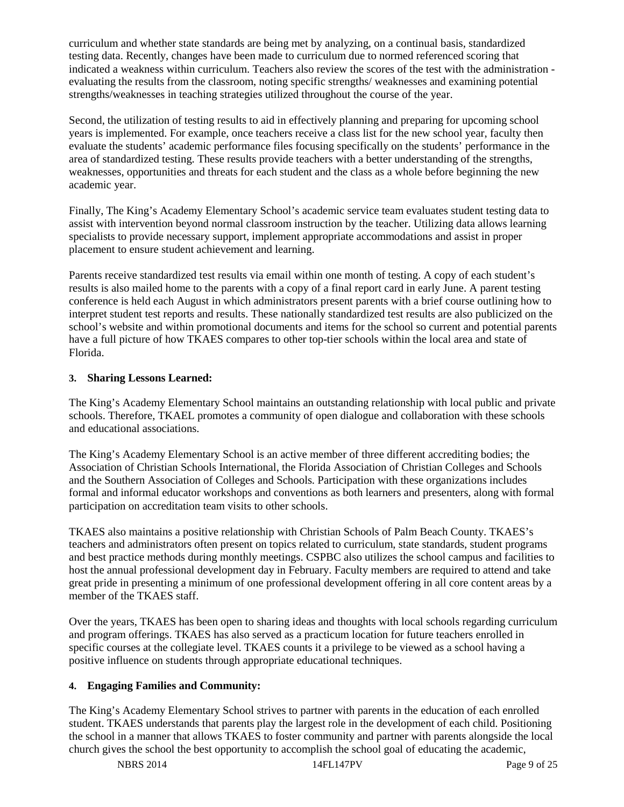curriculum and whether state standards are being met by analyzing, on a continual basis, standardized testing data. Recently, changes have been made to curriculum due to normed referenced scoring that indicated a weakness within curriculum. Teachers also review the scores of the test with the administration evaluating the results from the classroom, noting specific strengths/ weaknesses and examining potential strengths/weaknesses in teaching strategies utilized throughout the course of the year.

Second, the utilization of testing results to aid in effectively planning and preparing for upcoming school years is implemented. For example, once teachers receive a class list for the new school year, faculty then evaluate the students' academic performance files focusing specifically on the students' performance in the area of standardized testing. These results provide teachers with a better understanding of the strengths, weaknesses, opportunities and threats for each student and the class as a whole before beginning the new academic year.

Finally, The King's Academy Elementary School's academic service team evaluates student testing data to assist with intervention beyond normal classroom instruction by the teacher. Utilizing data allows learning specialists to provide necessary support, implement appropriate accommodations and assist in proper placement to ensure student achievement and learning.

Parents receive standardized test results via email within one month of testing. A copy of each student's results is also mailed home to the parents with a copy of a final report card in early June. A parent testing conference is held each August in which administrators present parents with a brief course outlining how to interpret student test reports and results. These nationally standardized test results are also publicized on the school's website and within promotional documents and items for the school so current and potential parents have a full picture of how TKAES compares to other top-tier schools within the local area and state of Florida.

#### **3. Sharing Lessons Learned:**

The King's Academy Elementary School maintains an outstanding relationship with local public and private schools. Therefore, TKAEL promotes a community of open dialogue and collaboration with these schools and educational associations.

The King's Academy Elementary School is an active member of three different accrediting bodies; the Association of Christian Schools International, the Florida Association of Christian Colleges and Schools and the Southern Association of Colleges and Schools. Participation with these organizations includes formal and informal educator workshops and conventions as both learners and presenters, along with formal participation on accreditation team visits to other schools.

TKAES also maintains a positive relationship with Christian Schools of Palm Beach County. TKAES's teachers and administrators often present on topics related to curriculum, state standards, student programs and best practice methods during monthly meetings. CSPBC also utilizes the school campus and facilities to host the annual professional development day in February. Faculty members are required to attend and take great pride in presenting a minimum of one professional development offering in all core content areas by a member of the TKAES staff.

Over the years, TKAES has been open to sharing ideas and thoughts with local schools regarding curriculum and program offerings. TKAES has also served as a practicum location for future teachers enrolled in specific courses at the collegiate level. TKAES counts it a privilege to be viewed as a school having a positive influence on students through appropriate educational techniques.

#### **4. Engaging Families and Community:**

The King's Academy Elementary School strives to partner with parents in the education of each enrolled student. TKAES understands that parents play the largest role in the development of each child. Positioning the school in a manner that allows TKAES to foster community and partner with parents alongside the local church gives the school the best opportunity to accomplish the school goal of educating the academic,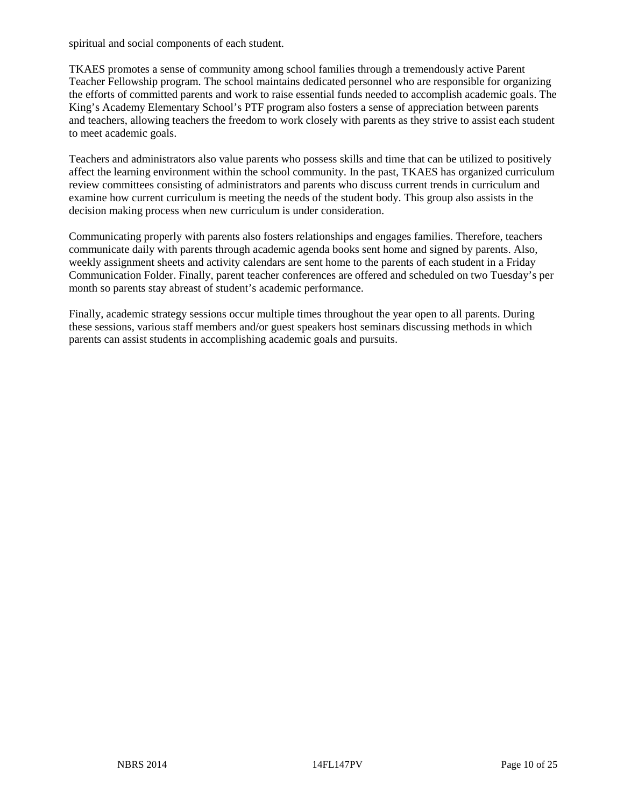spiritual and social components of each student.

TKAES promotes a sense of community among school families through a tremendously active Parent Teacher Fellowship program. The school maintains dedicated personnel who are responsible for organizing the efforts of committed parents and work to raise essential funds needed to accomplish academic goals. The King's Academy Elementary School's PTF program also fosters a sense of appreciation between parents and teachers, allowing teachers the freedom to work closely with parents as they strive to assist each student to meet academic goals.

Teachers and administrators also value parents who possess skills and time that can be utilized to positively affect the learning environment within the school community. In the past, TKAES has organized curriculum review committees consisting of administrators and parents who discuss current trends in curriculum and examine how current curriculum is meeting the needs of the student body. This group also assists in the decision making process when new curriculum is under consideration.

Communicating properly with parents also fosters relationships and engages families. Therefore, teachers communicate daily with parents through academic agenda books sent home and signed by parents. Also, weekly assignment sheets and activity calendars are sent home to the parents of each student in a Friday Communication Folder. Finally, parent teacher conferences are offered and scheduled on two Tuesday's per month so parents stay abreast of student's academic performance.

Finally, academic strategy sessions occur multiple times throughout the year open to all parents. During these sessions, various staff members and/or guest speakers host seminars discussing methods in which parents can assist students in accomplishing academic goals and pursuits.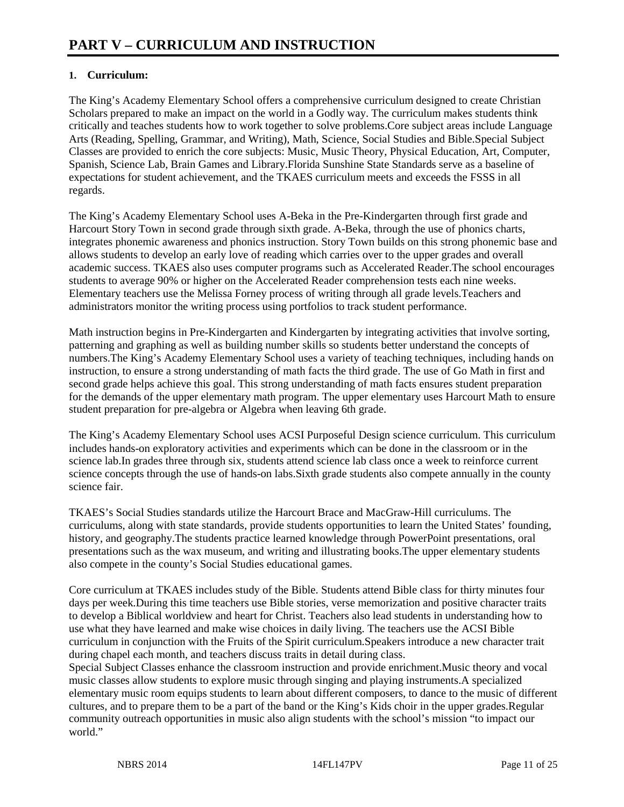#### **1. Curriculum:**

The King's Academy Elementary School offers a comprehensive curriculum designed to create Christian Scholars prepared to make an impact on the world in a Godly way. The curriculum makes students think critically and teaches students how to work together to solve problems.Core subject areas include Language Arts (Reading, Spelling, Grammar, and Writing), Math, Science, Social Studies and Bible.Special Subject Classes are provided to enrich the core subjects: Music, Music Theory, Physical Education, Art, Computer, Spanish, Science Lab, Brain Games and Library.Florida Sunshine State Standards serve as a baseline of expectations for student achievement, and the TKAES curriculum meets and exceeds the FSSS in all regards.

The King's Academy Elementary School uses A-Beka in the Pre-Kindergarten through first grade and Harcourt Story Town in second grade through sixth grade. A-Beka, through the use of phonics charts, integrates phonemic awareness and phonics instruction. Story Town builds on this strong phonemic base and allows students to develop an early love of reading which carries over to the upper grades and overall academic success. TKAES also uses computer programs such as Accelerated Reader.The school encourages students to average 90% or higher on the Accelerated Reader comprehension tests each nine weeks. Elementary teachers use the Melissa Forney process of writing through all grade levels.Teachers and administrators monitor the writing process using portfolios to track student performance.

Math instruction begins in Pre-Kindergarten and Kindergarten by integrating activities that involve sorting, patterning and graphing as well as building number skills so students better understand the concepts of numbers.The King's Academy Elementary School uses a variety of teaching techniques, including hands on instruction, to ensure a strong understanding of math facts the third grade. The use of Go Math in first and second grade helps achieve this goal. This strong understanding of math facts ensures student preparation for the demands of the upper elementary math program. The upper elementary uses Harcourt Math to ensure student preparation for pre-algebra or Algebra when leaving 6th grade.

The King's Academy Elementary School uses ACSI Purposeful Design science curriculum. This curriculum includes hands-on exploratory activities and experiments which can be done in the classroom or in the science lab.In grades three through six, students attend science lab class once a week to reinforce current science concepts through the use of hands-on labs.Sixth grade students also compete annually in the county science fair.

TKAES's Social Studies standards utilize the Harcourt Brace and MacGraw-Hill curriculums. The curriculums, along with state standards, provide students opportunities to learn the United States' founding, history, and geography.The students practice learned knowledge through PowerPoint presentations, oral presentations such as the wax museum, and writing and illustrating books.The upper elementary students also compete in the county's Social Studies educational games.

Core curriculum at TKAES includes study of the Bible. Students attend Bible class for thirty minutes four days per week.During this time teachers use Bible stories, verse memorization and positive character traits to develop a Biblical worldview and heart for Christ. Teachers also lead students in understanding how to use what they have learned and make wise choices in daily living. The teachers use the ACSI Bible curriculum in conjunction with the Fruits of the Spirit curriculum.Speakers introduce a new character trait during chapel each month, and teachers discuss traits in detail during class.

Special Subject Classes enhance the classroom instruction and provide enrichment.Music theory and vocal music classes allow students to explore music through singing and playing instruments.A specialized elementary music room equips students to learn about different composers, to dance to the music of different cultures, and to prepare them to be a part of the band or the King's Kids choir in the upper grades.Regular community outreach opportunities in music also align students with the school's mission "to impact our world."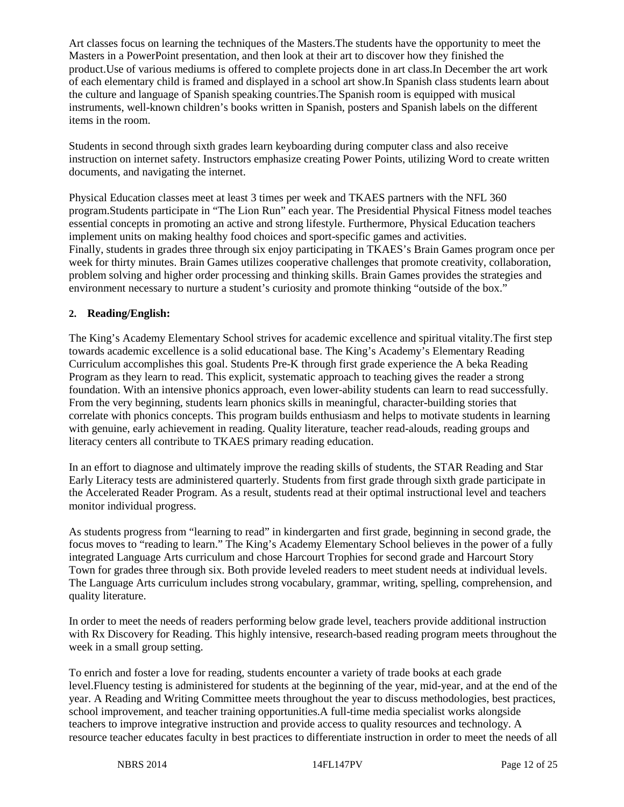Art classes focus on learning the techniques of the Masters.The students have the opportunity to meet the Masters in a PowerPoint presentation, and then look at their art to discover how they finished the product.Use of various mediums is offered to complete projects done in art class.In December the art work of each elementary child is framed and displayed in a school art show.In Spanish class students learn about the culture and language of Spanish speaking countries.The Spanish room is equipped with musical instruments, well-known children's books written in Spanish, posters and Spanish labels on the different items in the room.

Students in second through sixth grades learn keyboarding during computer class and also receive instruction on internet safety. Instructors emphasize creating Power Points, utilizing Word to create written documents, and navigating the internet.

Physical Education classes meet at least 3 times per week and TKAES partners with the NFL 360 program.Students participate in "The Lion Run" each year. The Presidential Physical Fitness model teaches essential concepts in promoting an active and strong lifestyle. Furthermore, Physical Education teachers implement units on making healthy food choices and sport-specific games and activities. Finally, students in grades three through six enjoy participating in TKAES's Brain Games program once per week for thirty minutes. Brain Games utilizes cooperative challenges that promote creativity, collaboration, problem solving and higher order processing and thinking skills. Brain Games provides the strategies and environment necessary to nurture a student's curiosity and promote thinking "outside of the box."

#### **2. Reading/English:**

The King's Academy Elementary School strives for academic excellence and spiritual vitality.The first step towards academic excellence is a solid educational base. The King's Academy's Elementary Reading Curriculum accomplishes this goal. Students Pre-K through first grade experience the A beka Reading Program as they learn to read. This explicit, systematic approach to teaching gives the reader a strong foundation. With an intensive phonics approach, even lower-ability students can learn to read successfully. From the very beginning, students learn phonics skills in meaningful, character-building stories that correlate with phonics concepts. This program builds enthusiasm and helps to motivate students in learning with genuine, early achievement in reading. Quality literature, teacher read-alouds, reading groups and literacy centers all contribute to TKAES primary reading education.

In an effort to diagnose and ultimately improve the reading skills of students, the STAR Reading and Star Early Literacy tests are administered quarterly. Students from first grade through sixth grade participate in the Accelerated Reader Program. As a result, students read at their optimal instructional level and teachers monitor individual progress.

As students progress from "learning to read" in kindergarten and first grade, beginning in second grade, the focus moves to "reading to learn." The King's Academy Elementary School believes in the power of a fully integrated Language Arts curriculum and chose Harcourt Trophies for second grade and Harcourt Story Town for grades three through six. Both provide leveled readers to meet student needs at individual levels. The Language Arts curriculum includes strong vocabulary, grammar, writing, spelling, comprehension, and quality literature.

In order to meet the needs of readers performing below grade level, teachers provide additional instruction with Rx Discovery for Reading. This highly intensive, research-based reading program meets throughout the week in a small group setting.

To enrich and foster a love for reading, students encounter a variety of trade books at each grade level.Fluency testing is administered for students at the beginning of the year, mid-year, and at the end of the year. A Reading and Writing Committee meets throughout the year to discuss methodologies, best practices, school improvement, and teacher training opportunities.A full-time media specialist works alongside teachers to improve integrative instruction and provide access to quality resources and technology. A resource teacher educates faculty in best practices to differentiate instruction in order to meet the needs of all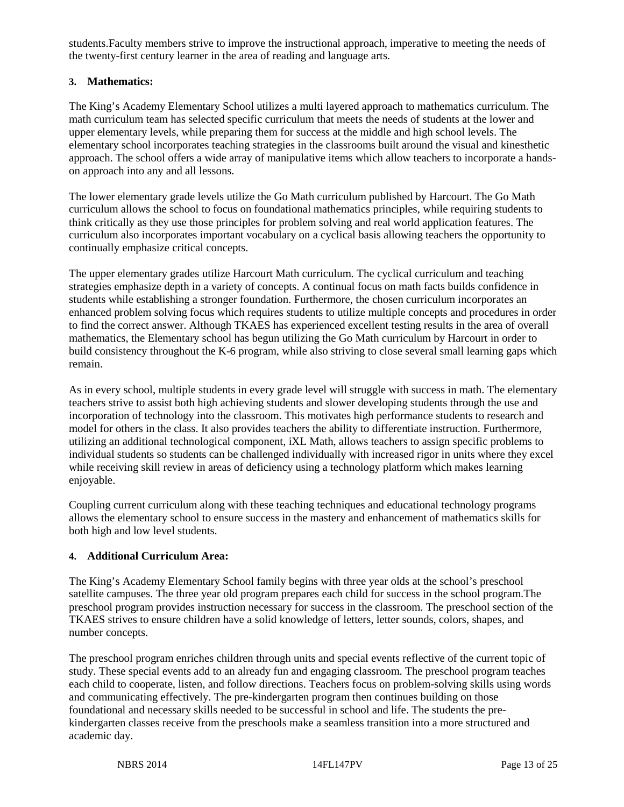students.Faculty members strive to improve the instructional approach, imperative to meeting the needs of the twenty-first century learner in the area of reading and language arts.

#### **3. Mathematics:**

The King's Academy Elementary School utilizes a multi layered approach to mathematics curriculum. The math curriculum team has selected specific curriculum that meets the needs of students at the lower and upper elementary levels, while preparing them for success at the middle and high school levels. The elementary school incorporates teaching strategies in the classrooms built around the visual and kinesthetic approach. The school offers a wide array of manipulative items which allow teachers to incorporate a handson approach into any and all lessons.

The lower elementary grade levels utilize the Go Math curriculum published by Harcourt. The Go Math curriculum allows the school to focus on foundational mathematics principles, while requiring students to think critically as they use those principles for problem solving and real world application features. The curriculum also incorporates important vocabulary on a cyclical basis allowing teachers the opportunity to continually emphasize critical concepts.

The upper elementary grades utilize Harcourt Math curriculum. The cyclical curriculum and teaching strategies emphasize depth in a variety of concepts. A continual focus on math facts builds confidence in students while establishing a stronger foundation. Furthermore, the chosen curriculum incorporates an enhanced problem solving focus which requires students to utilize multiple concepts and procedures in order to find the correct answer. Although TKAES has experienced excellent testing results in the area of overall mathematics, the Elementary school has begun utilizing the Go Math curriculum by Harcourt in order to build consistency throughout the K-6 program, while also striving to close several small learning gaps which remain.

As in every school, multiple students in every grade level will struggle with success in math. The elementary teachers strive to assist both high achieving students and slower developing students through the use and incorporation of technology into the classroom. This motivates high performance students to research and model for others in the class. It also provides teachers the ability to differentiate instruction. Furthermore, utilizing an additional technological component, iXL Math, allows teachers to assign specific problems to individual students so students can be challenged individually with increased rigor in units where they excel while receiving skill review in areas of deficiency using a technology platform which makes learning enjoyable.

Coupling current curriculum along with these teaching techniques and educational technology programs allows the elementary school to ensure success in the mastery and enhancement of mathematics skills for both high and low level students.

#### **4. Additional Curriculum Area:**

The King's Academy Elementary School family begins with three year olds at the school's preschool satellite campuses. The three year old program prepares each child for success in the school program.The preschool program provides instruction necessary for success in the classroom. The preschool section of the TKAES strives to ensure children have a solid knowledge of letters, letter sounds, colors, shapes, and number concepts.

The preschool program enriches children through units and special events reflective of the current topic of study. These special events add to an already fun and engaging classroom. The preschool program teaches each child to cooperate, listen, and follow directions. Teachers focus on problem-solving skills using words and communicating effectively. The pre-kindergarten program then continues building on those foundational and necessary skills needed to be successful in school and life. The students the prekindergarten classes receive from the preschools make a seamless transition into a more structured and academic day.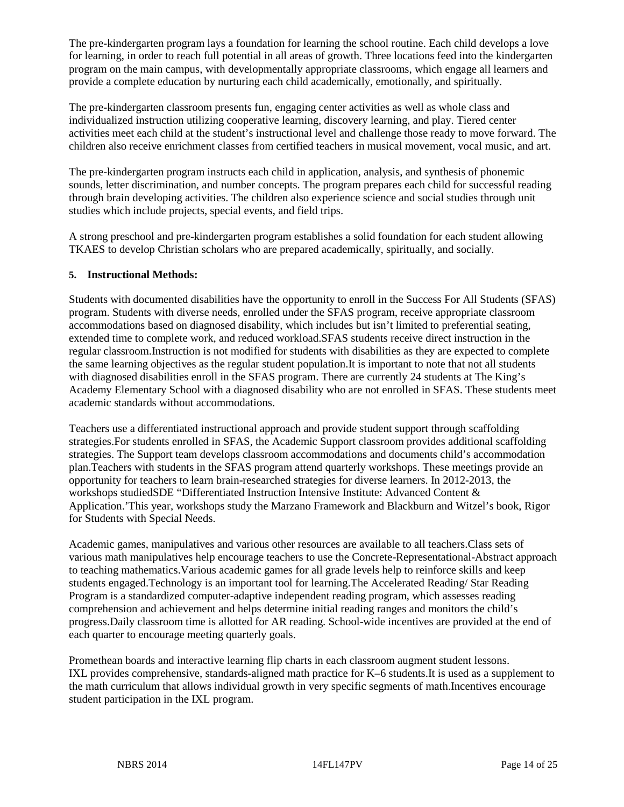The pre-kindergarten program lays a foundation for learning the school routine. Each child develops a love for learning, in order to reach full potential in all areas of growth. Three locations feed into the kindergarten program on the main campus, with developmentally appropriate classrooms, which engage all learners and provide a complete education by nurturing each child academically, emotionally, and spiritually.

The pre-kindergarten classroom presents fun, engaging center activities as well as whole class and individualized instruction utilizing cooperative learning, discovery learning, and play. Tiered center activities meet each child at the student's instructional level and challenge those ready to move forward. The children also receive enrichment classes from certified teachers in musical movement, vocal music, and art.

The pre-kindergarten program instructs each child in application, analysis, and synthesis of phonemic sounds, letter discrimination, and number concepts. The program prepares each child for successful reading through brain developing activities. The children also experience science and social studies through unit studies which include projects, special events, and field trips.

A strong preschool and pre-kindergarten program establishes a solid foundation for each student allowing TKAES to develop Christian scholars who are prepared academically, spiritually, and socially.

#### **5. Instructional Methods:**

Students with documented disabilities have the opportunity to enroll in the Success For All Students (SFAS) program. Students with diverse needs, enrolled under the SFAS program, receive appropriate classroom accommodations based on diagnosed disability, which includes but isn't limited to preferential seating, extended time to complete work, and reduced workload.SFAS students receive direct instruction in the regular classroom.Instruction is not modified for students with disabilities as they are expected to complete the same learning objectives as the regular student population.It is important to note that not all students with diagnosed disabilities enroll in the SFAS program. There are currently 24 students at The King's Academy Elementary School with a diagnosed disability who are not enrolled in SFAS. These students meet academic standards without accommodations.

Teachers use a differentiated instructional approach and provide student support through scaffolding strategies.For students enrolled in SFAS, the Academic Support classroom provides additional scaffolding strategies. The Support team develops classroom accommodations and documents child's accommodation plan.Teachers with students in the SFAS program attend quarterly workshops. These meetings provide an opportunity for teachers to learn brain-researched strategies for diverse learners. In 2012-2013, the workshops studiedSDE "Differentiated Instruction Intensive Institute: Advanced Content & Application.'This year, workshops study the Marzano Framework and Blackburn and Witzel's book, Rigor for Students with Special Needs.

Academic games, manipulatives and various other resources are available to all teachers.Class sets of various math manipulatives help encourage teachers to use the Concrete-Representational-Abstract approach to teaching mathematics.Various academic games for all grade levels help to reinforce skills and keep students engaged.Technology is an important tool for learning.The Accelerated Reading/ Star Reading Program is a standardized computer-adaptive independent reading program, which assesses reading comprehension and achievement and helps determine initial reading ranges and monitors the child's progress.Daily classroom time is allotted for AR reading. School-wide incentives are provided at the end of each quarter to encourage meeting quarterly goals.

Promethean boards and interactive learning flip charts in each classroom augment student lessons. IXL provides comprehensive, standards-aligned math practice for K–6 students.It is used as a supplement to the math curriculum that allows individual growth in very specific segments of math.Incentives encourage student participation in the IXL program.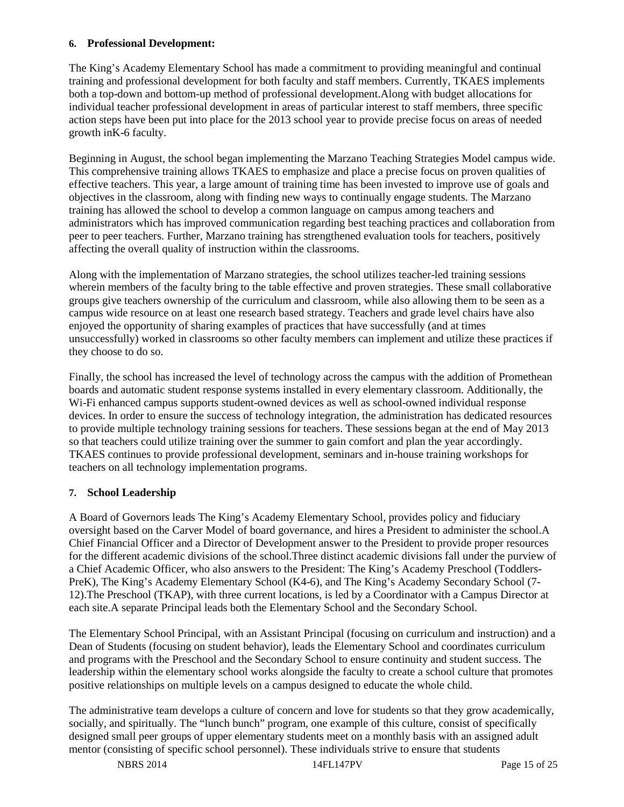#### **6. Professional Development:**

The King's Academy Elementary School has made a commitment to providing meaningful and continual training and professional development for both faculty and staff members. Currently, TKAES implements both a top-down and bottom-up method of professional development.Along with budget allocations for individual teacher professional development in areas of particular interest to staff members, three specific action steps have been put into place for the 2013 school year to provide precise focus on areas of needed growth inK-6 faculty.

Beginning in August, the school began implementing the Marzano Teaching Strategies Model campus wide. This comprehensive training allows TKAES to emphasize and place a precise focus on proven qualities of effective teachers. This year, a large amount of training time has been invested to improve use of goals and objectives in the classroom, along with finding new ways to continually engage students. The Marzano training has allowed the school to develop a common language on campus among teachers and administrators which has improved communication regarding best teaching practices and collaboration from peer to peer teachers. Further, Marzano training has strengthened evaluation tools for teachers, positively affecting the overall quality of instruction within the classrooms.

Along with the implementation of Marzano strategies, the school utilizes teacher-led training sessions wherein members of the faculty bring to the table effective and proven strategies. These small collaborative groups give teachers ownership of the curriculum and classroom, while also allowing them to be seen as a campus wide resource on at least one research based strategy. Teachers and grade level chairs have also enjoyed the opportunity of sharing examples of practices that have successfully (and at times unsuccessfully) worked in classrooms so other faculty members can implement and utilize these practices if they choose to do so.

Finally, the school has increased the level of technology across the campus with the addition of Promethean boards and automatic student response systems installed in every elementary classroom. Additionally, the Wi-Fi enhanced campus supports student-owned devices as well as school-owned individual response devices. In order to ensure the success of technology integration, the administration has dedicated resources to provide multiple technology training sessions for teachers. These sessions began at the end of May 2013 so that teachers could utilize training over the summer to gain comfort and plan the year accordingly. TKAES continues to provide professional development, seminars and in-house training workshops for teachers on all technology implementation programs.

#### **7. School Leadership**

A Board of Governors leads The King's Academy Elementary School, provides policy and fiduciary oversight based on the Carver Model of board governance, and hires a President to administer the school.A Chief Financial Officer and a Director of Development answer to the President to provide proper resources for the different academic divisions of the school.Three distinct academic divisions fall under the purview of a Chief Academic Officer, who also answers to the President: The King's Academy Preschool (Toddlers-PreK), The King's Academy Elementary School (K4-6), and The King's Academy Secondary School (7-12).The Preschool (TKAP), with three current locations, is led by a Coordinator with a Campus Director at each site.A separate Principal leads both the Elementary School and the Secondary School.

The Elementary School Principal, with an Assistant Principal (focusing on curriculum and instruction) and a Dean of Students (focusing on student behavior), leads the Elementary School and coordinates curriculum and programs with the Preschool and the Secondary School to ensure continuity and student success. The leadership within the elementary school works alongside the faculty to create a school culture that promotes positive relationships on multiple levels on a campus designed to educate the whole child.

The administrative team develops a culture of concern and love for students so that they grow academically, socially, and spiritually. The "lunch bunch" program, one example of this culture, consist of specifically designed small peer groups of upper elementary students meet on a monthly basis with an assigned adult mentor (consisting of specific school personnel). These individuals strive to ensure that students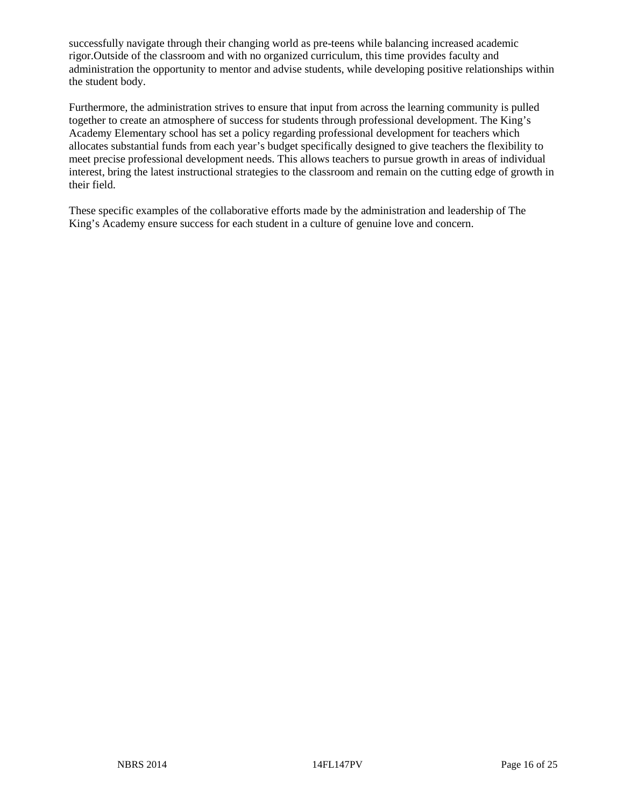successfully navigate through their changing world as pre-teens while balancing increased academic rigor.Outside of the classroom and with no organized curriculum, this time provides faculty and administration the opportunity to mentor and advise students, while developing positive relationships within the student body.

Furthermore, the administration strives to ensure that input from across the learning community is pulled together to create an atmosphere of success for students through professional development. The King's Academy Elementary school has set a policy regarding professional development for teachers which allocates substantial funds from each year's budget specifically designed to give teachers the flexibility to meet precise professional development needs. This allows teachers to pursue growth in areas of individual interest, bring the latest instructional strategies to the classroom and remain on the cutting edge of growth in their field.

These specific examples of the collaborative efforts made by the administration and leadership of The King's Academy ensure success for each student in a culture of genuine love and concern.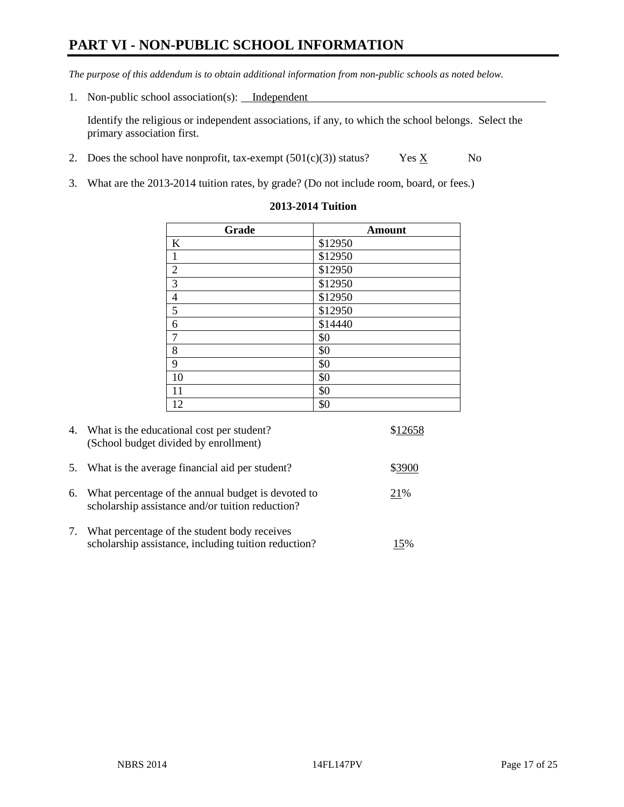# **PART VI - NON-PUBLIC SCHOOL INFORMATION**

*The purpose of this addendum is to obtain additional information from non-public schools as noted below.* 

1. Non-public school association(s): Independent

Identify the religious or independent associations, if any, to which the school belongs. Select the primary association first.

- 2. Does the school have nonprofit, tax-exempt  $(501(c)(3))$  status? Yes  $\underline{X}$  No
- 3. What are the 2013-2014 tuition rates, by grade? (Do not include room, board, or fees.)

| Grade                   | <b>Amount</b>   |
|-------------------------|-----------------|
| $\bf K$                 | \$12950         |
| $\mathbf 1$             | $\sqrt{$12950}$ |
| $\overline{2}$          | \$12950         |
| $\overline{\mathbf{3}}$ | \$12950         |
| $\frac{4}{5}$           | \$12950         |
|                         | \$12950         |
| $\sqrt{6}$              | \$14440         |
| $\boldsymbol{7}$        | \$0             |
| 8                       | \$0             |
| 9                       | \$0             |
| 10                      | \$0             |
| 11                      | \$0             |
| 12                      | \$0             |

#### **2013-2014 Tuition**

|            | 4. What is the educational cost per student?<br>(School budget divided by enrollment)                  | \$12658 |
|------------|--------------------------------------------------------------------------------------------------------|---------|
| 5.         | What is the average financial aid per student?                                                         | \$3900  |
| 6.         | What percentage of the annual budget is devoted to<br>scholarship assistance and/or tuition reduction? | 21%     |
| $\gamma$ . | What percentage of the student body receives<br>scholarship assistance, including tuition reduction?   | 15%     |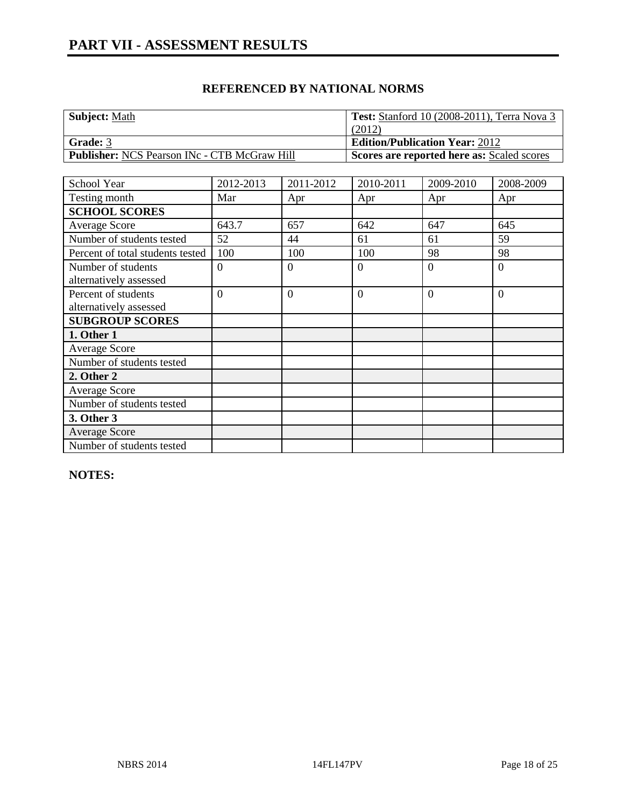| <b>Subject: Math</b>                                | <b>Test:</b> Stanford 10 (2008-2011), Terra Nova 3 |
|-----------------------------------------------------|----------------------------------------------------|
|                                                     | (2012)                                             |
| Grade: 3                                            | <b>Edition/Publication Year: 2012</b>              |
| <b>Publisher:</b> NCS Pearson INc - CTB McGraw Hill | Scores are reported here as: Scaled scores         |

| School Year                                   | 2012-2013      | 2011-2012      | 2010-2011      | 2009-2010 | 2008-2009      |
|-----------------------------------------------|----------------|----------------|----------------|-----------|----------------|
| Testing month                                 | Mar            | Apr            | Apr            | Apr       | Apr            |
| <b>SCHOOL SCORES</b>                          |                |                |                |           |                |
| Average Score                                 | 643.7          | 657            | 642            | 647       | 645            |
| Number of students tested                     | 52             | 44             | 61             | 61        | 59             |
| Percent of total students tested              | 100            | 100            | 100            | 98        | 98             |
| Number of students<br>alternatively assessed  | $\overline{0}$ | $\theta$       | $\overline{0}$ | $\Omega$  | $\overline{0}$ |
| Percent of students<br>alternatively assessed | $\overline{0}$ | $\overline{0}$ | $\overline{0}$ | $\Omega$  | $\overline{0}$ |
| <b>SUBGROUP SCORES</b>                        |                |                |                |           |                |
| 1. Other 1                                    |                |                |                |           |                |
| <b>Average Score</b>                          |                |                |                |           |                |
| Number of students tested                     |                |                |                |           |                |
| 2. Other 2                                    |                |                |                |           |                |
| Average Score                                 |                |                |                |           |                |
| Number of students tested                     |                |                |                |           |                |
| 3. Other 3                                    |                |                |                |           |                |
| <b>Average Score</b>                          |                |                |                |           |                |
| Number of students tested                     |                |                |                |           |                |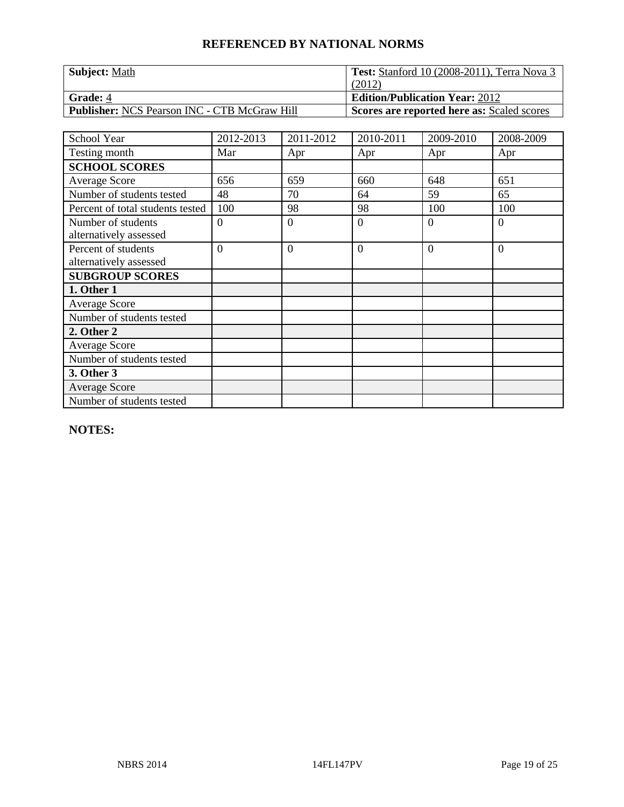| <b>Subject: Math</b>                                | <b>Test:</b> Stanford 10 (2008-2011), Terra Nova 3 |
|-----------------------------------------------------|----------------------------------------------------|
|                                                     | (2012)                                             |
| <b>Grade:</b> 4                                     | <b>Edition/Publication Year: 2012</b>              |
| <b>Publisher:</b> NCS Pearson INC - CTB McGraw Hill | Scores are reported here as: Scaled scores         |

| School Year                      | 2012-2013      | 2011-2012      | 2010-2011      | 2009-2010 | 2008-2009      |
|----------------------------------|----------------|----------------|----------------|-----------|----------------|
| Testing month                    | Mar            | Apr            | Apr            | Apr       | Apr            |
| <b>SCHOOL SCORES</b>             |                |                |                |           |                |
| <b>Average Score</b>             | 656            | 659            | 660            | 648       | 651            |
| Number of students tested        | 48             | 70             | 64             | 59        | 65             |
| Percent of total students tested | 100            | 98             | 98             | 100       | 100            |
| Number of students               | $\Omega$       | $\Omega$       | $\theta$       | 0         | $\Omega$       |
| alternatively assessed           |                |                |                |           |                |
| Percent of students              | $\overline{0}$ | $\overline{0}$ | $\overline{0}$ | $\Omega$  | $\overline{0}$ |
| alternatively assessed           |                |                |                |           |                |
| <b>SUBGROUP SCORES</b>           |                |                |                |           |                |
| 1. Other 1                       |                |                |                |           |                |
| <b>Average Score</b>             |                |                |                |           |                |
| Number of students tested        |                |                |                |           |                |
| 2. Other 2                       |                |                |                |           |                |
| <b>Average Score</b>             |                |                |                |           |                |
| Number of students tested        |                |                |                |           |                |
| 3. Other 3                       |                |                |                |           |                |
| <b>Average Score</b>             |                |                |                |           |                |
| Number of students tested        |                |                |                |           |                |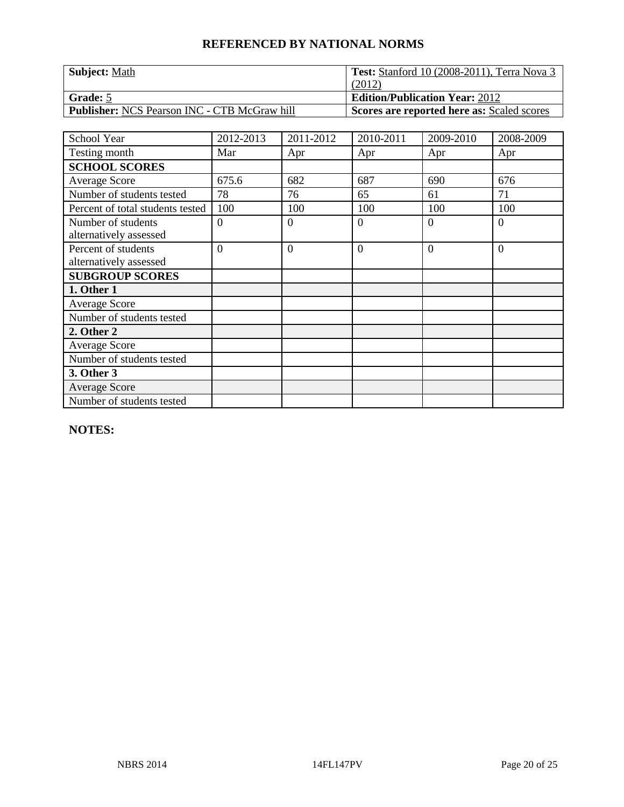| <b>Subject: Math</b>                                | <b>Test:</b> Stanford 10 (2008-2011), Terra Nova 3 |
|-----------------------------------------------------|----------------------------------------------------|
|                                                     | (2012)                                             |
| Grade: 5                                            | <b>Edition/Publication Year: 2012</b>              |
| <b>Publisher:</b> NCS Pearson INC - CTB McGraw hill | <b>Scores are reported here as: Scaled scores</b>  |

| School Year                      | 2012-2013      | 2011-2012      | 2010-2011      | 2009-2010      | 2008-2009      |
|----------------------------------|----------------|----------------|----------------|----------------|----------------|
| Testing month                    | Mar            | Apr            | Apr            | Apr            | Apr            |
| <b>SCHOOL SCORES</b>             |                |                |                |                |                |
| <b>Average Score</b>             | 675.6          | 682            | 687            | 690            | 676            |
| Number of students tested        | 78             | 76             | 65             | 61             | 71             |
| Percent of total students tested | 100            | 100            | 100            | 100            | 100            |
| Number of students               | $\overline{0}$ | $\theta$       | $\overline{0}$ | $\Omega$       | $\overline{0}$ |
| alternatively assessed           |                |                |                |                |                |
| Percent of students              | $\overline{0}$ | $\overline{0}$ | $\overline{0}$ | $\overline{0}$ | $\overline{0}$ |
| alternatively assessed           |                |                |                |                |                |
| <b>SUBGROUP SCORES</b>           |                |                |                |                |                |
| 1. Other 1                       |                |                |                |                |                |
| <b>Average Score</b>             |                |                |                |                |                |
| Number of students tested        |                |                |                |                |                |
| 2. Other 2                       |                |                |                |                |                |
| <b>Average Score</b>             |                |                |                |                |                |
| Number of students tested        |                |                |                |                |                |
| 3. Other 3                       |                |                |                |                |                |
| <b>Average Score</b>             |                |                |                |                |                |
| Number of students tested        |                |                |                |                |                |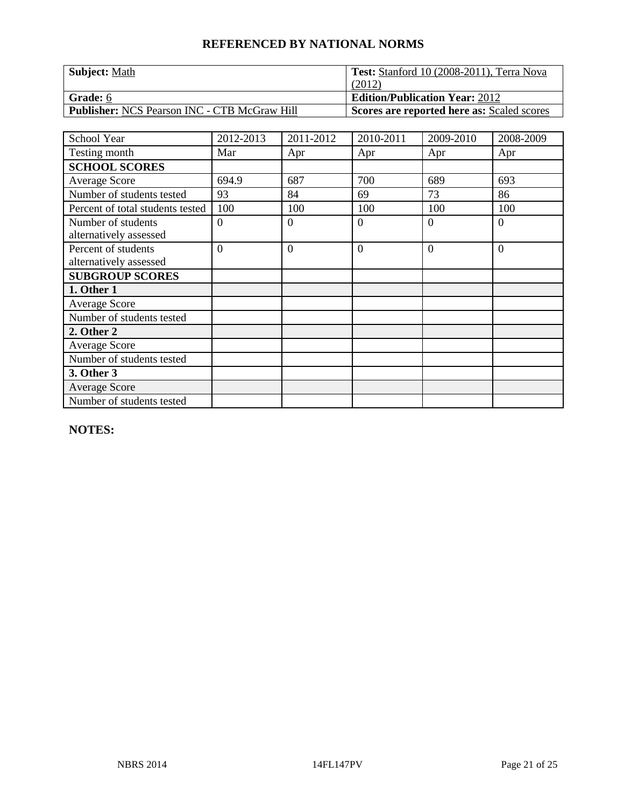| Subject: Math                                       | Test: Stanford 10 (2008-2011), Terra Nova         |
|-----------------------------------------------------|---------------------------------------------------|
|                                                     | (2012)                                            |
| Grade: 6                                            | <b>Edition/Publication Year: 2012</b>             |
| <b>Publisher:</b> NCS Pearson INC - CTB McGraw Hill | <b>Scores are reported here as: Scaled scores</b> |

| School Year                      | 2012-2013      | 2011-2012      | 2010-2011      | 2009-2010      | 2008-2009      |
|----------------------------------|----------------|----------------|----------------|----------------|----------------|
| Testing month                    | Mar            | Apr            | Apr            | Apr            | Apr            |
| <b>SCHOOL SCORES</b>             |                |                |                |                |                |
| Average Score                    | 694.9          | 687            | 700            | 689            | 693            |
| Number of students tested        | 93             | 84             | 69             | 73             | 86             |
| Percent of total students tested | 100            | 100            | 100            | 100            | 100            |
| Number of students               | $\overline{0}$ | $\theta$       | $\overline{0}$ | $\Omega$       | $\overline{0}$ |
| alternatively assessed           |                |                |                |                |                |
| Percent of students              | $\overline{0}$ | $\overline{0}$ | $\overline{0}$ | $\overline{0}$ | $\overline{0}$ |
| alternatively assessed           |                |                |                |                |                |
| <b>SUBGROUP SCORES</b>           |                |                |                |                |                |
| 1. Other 1                       |                |                |                |                |                |
| <b>Average Score</b>             |                |                |                |                |                |
| Number of students tested        |                |                |                |                |                |
| 2. Other 2                       |                |                |                |                |                |
| Average Score                    |                |                |                |                |                |
| Number of students tested        |                |                |                |                |                |
| 3. Other 3                       |                |                |                |                |                |
| <b>Average Score</b>             |                |                |                |                |                |
| Number of students tested        |                |                |                |                |                |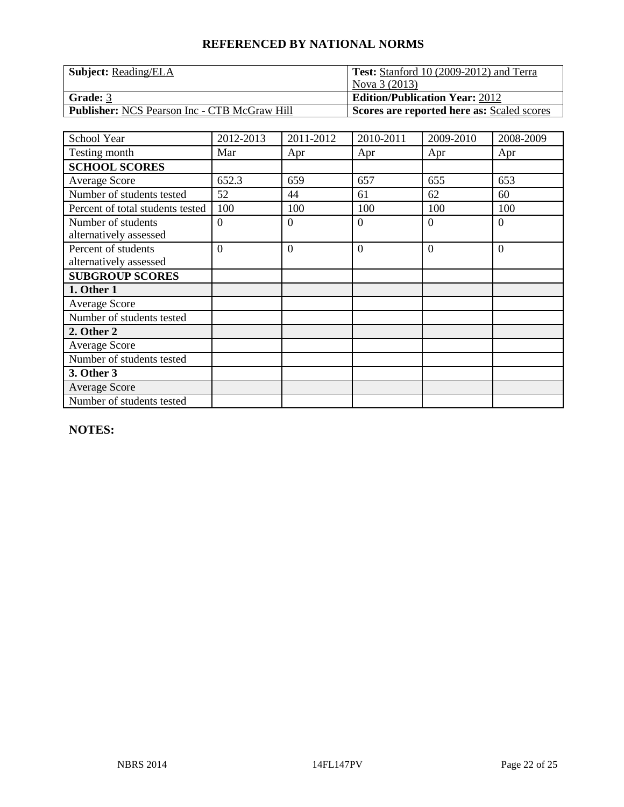| <b>Subject:</b> Reading/ELA                         | <b>Test:</b> Stanford 10 (2009-2012) and Terra    |
|-----------------------------------------------------|---------------------------------------------------|
|                                                     | Nova 3 (2013)                                     |
| Grade: 3                                            | <b>Edition/Publication Year: 2012</b>             |
| <b>Publisher:</b> NCS Pearson Inc - CTB McGraw Hill | <b>Scores are reported here as: Scaled scores</b> |

| School Year                      | 2012-2013 | 2011-2012      | 2010-2011      | 2009-2010 | 2008-2009 |
|----------------------------------|-----------|----------------|----------------|-----------|-----------|
| Testing month                    | Mar       | Apr            | Apr            | Apr       | Apr       |
| <b>SCHOOL SCORES</b>             |           |                |                |           |           |
| Average Score                    | 652.3     | 659            | 657            | 655       | 653       |
| Number of students tested        | 52        | 44             | 61             | 62        | 60        |
| Percent of total students tested | 100       | 100            | 100            | 100       | 100       |
| Number of students               | $\Omega$  | $\theta$       | $\overline{0}$ | $\Omega$  | $\theta$  |
| alternatively assessed           |           |                |                |           |           |
| Percent of students              | $\Omega$  | $\overline{0}$ | $\overline{0}$ | $\Omega$  | $\theta$  |
| alternatively assessed           |           |                |                |           |           |
| <b>SUBGROUP SCORES</b>           |           |                |                |           |           |
| 1. Other 1                       |           |                |                |           |           |
| <b>Average Score</b>             |           |                |                |           |           |
| Number of students tested        |           |                |                |           |           |
| 2. Other 2                       |           |                |                |           |           |
| <b>Average Score</b>             |           |                |                |           |           |
| Number of students tested        |           |                |                |           |           |
| 3. Other 3                       |           |                |                |           |           |
| <b>Average Score</b>             |           |                |                |           |           |
| Number of students tested        |           |                |                |           |           |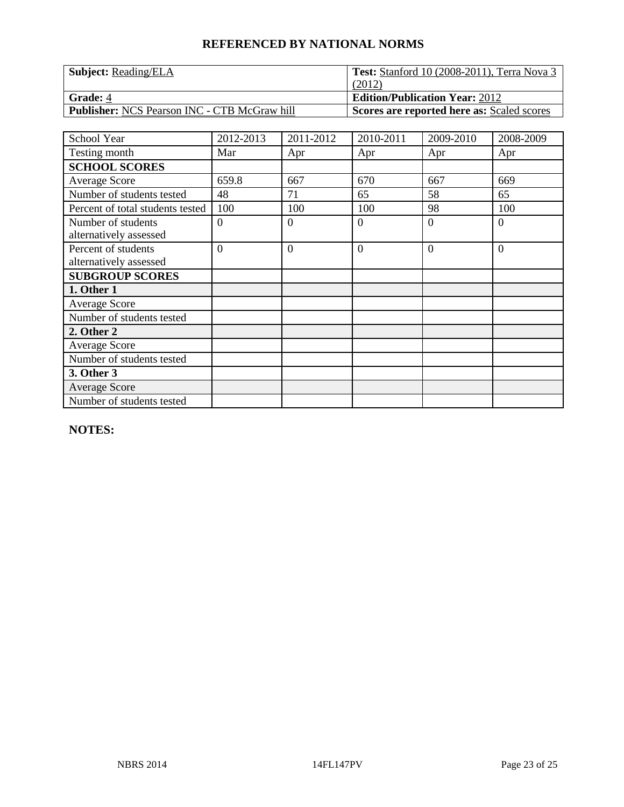| <b>Subject:</b> Reading/ELA                         | <b>Test:</b> Stanford 10 (2008-2011), Terra Nova 3 |
|-----------------------------------------------------|----------------------------------------------------|
|                                                     | (2012)                                             |
| <b>Grade: 4</b>                                     | <b>Edition/Publication Year: 2012</b>              |
| <b>Publisher:</b> NCS Pearson INC - CTB McGraw hill | <b>Scores are reported here as: Scaled scores</b>  |

| School Year                      | 2012-2013 | 2011-2012 | 2010-2011      | 2009-2010 | 2008-2009      |
|----------------------------------|-----------|-----------|----------------|-----------|----------------|
| Testing month                    | Mar       | Apr       | Apr            | Apr       | Apr            |
| <b>SCHOOL SCORES</b>             |           |           |                |           |                |
| <b>Average Score</b>             | 659.8     | 667       | 670            | 667       | 669            |
| Number of students tested        | 48        | 71        | 65             | 58        | 65             |
| Percent of total students tested | 100       | 100       | 100            | 98        | 100            |
| Number of students               | $\Omega$  | $\Omega$  | $\theta$       | $\Omega$  | $\Omega$       |
| alternatively assessed           |           |           |                |           |                |
| Percent of students              | $\Omega$  | $\Omega$  | $\overline{0}$ | $\Omega$  | $\overline{0}$ |
| alternatively assessed           |           |           |                |           |                |
| <b>SUBGROUP SCORES</b>           |           |           |                |           |                |
| 1. Other 1                       |           |           |                |           |                |
| <b>Average Score</b>             |           |           |                |           |                |
| Number of students tested        |           |           |                |           |                |
| 2. Other 2                       |           |           |                |           |                |
| Average Score                    |           |           |                |           |                |
| Number of students tested        |           |           |                |           |                |
| 3. Other 3                       |           |           |                |           |                |
| <b>Average Score</b>             |           |           |                |           |                |
| Number of students tested        |           |           |                |           |                |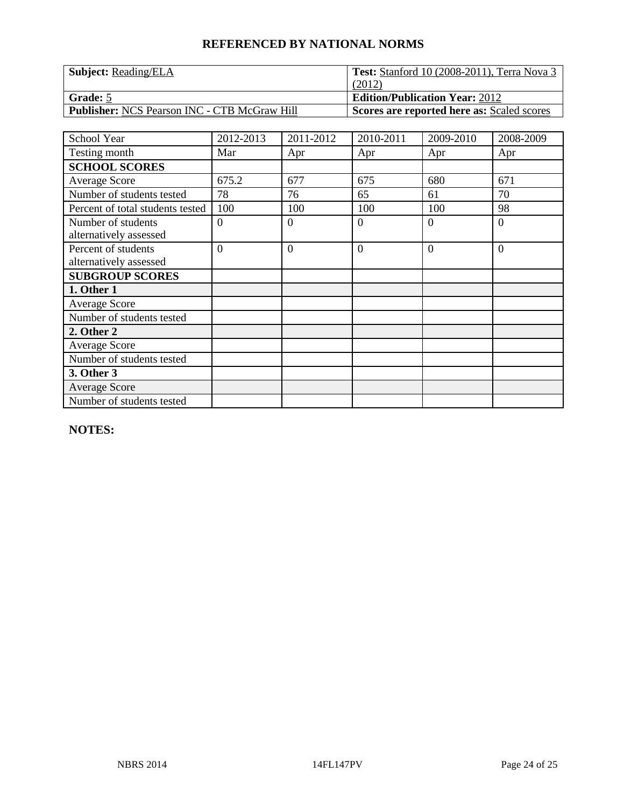| <b>Subject:</b> Reading/ELA                         | <b>Test:</b> Stanford 10 (2008-2011), Terra Nova 3 |
|-----------------------------------------------------|----------------------------------------------------|
|                                                     | (2012)                                             |
| <b>Grade:</b> 5                                     | <b>Edition/Publication Year: 2012</b>              |
| <b>Publisher: NCS Pearson INC - CTB McGraw Hill</b> | <b>Scores are reported here as: Scaled scores</b>  |

| School Year                      | 2012-2013 | 2011-2012 | 2010-2011      | 2009-2010 | 2008-2009      |
|----------------------------------|-----------|-----------|----------------|-----------|----------------|
| Testing month                    | Mar       | Apr       | Apr            | Apr       | Apr            |
| <b>SCHOOL SCORES</b>             |           |           |                |           |                |
| Average Score                    | 675.2     | 677       | 675            | 680       | 671            |
| Number of students tested        | 78        | 76        | 65             | 61        | 70             |
| Percent of total students tested | 100       | 100       | 100            | 100       | 98             |
| Number of students               | $\Omega$  | $\Omega$  | $\theta$       | 0         | $\Omega$       |
| alternatively assessed           |           |           |                |           |                |
| Percent of students              | $\Omega$  | $\Omega$  | $\overline{0}$ | $\Omega$  | $\overline{0}$ |
| alternatively assessed           |           |           |                |           |                |
| <b>SUBGROUP SCORES</b>           |           |           |                |           |                |
| 1. Other 1                       |           |           |                |           |                |
| <b>Average Score</b>             |           |           |                |           |                |
| Number of students tested        |           |           |                |           |                |
| 2. Other 2                       |           |           |                |           |                |
| Average Score                    |           |           |                |           |                |
| Number of students tested        |           |           |                |           |                |
| 3. Other 3                       |           |           |                |           |                |
| <b>Average Score</b>             |           |           |                |           |                |
| Number of students tested        |           |           |                |           |                |